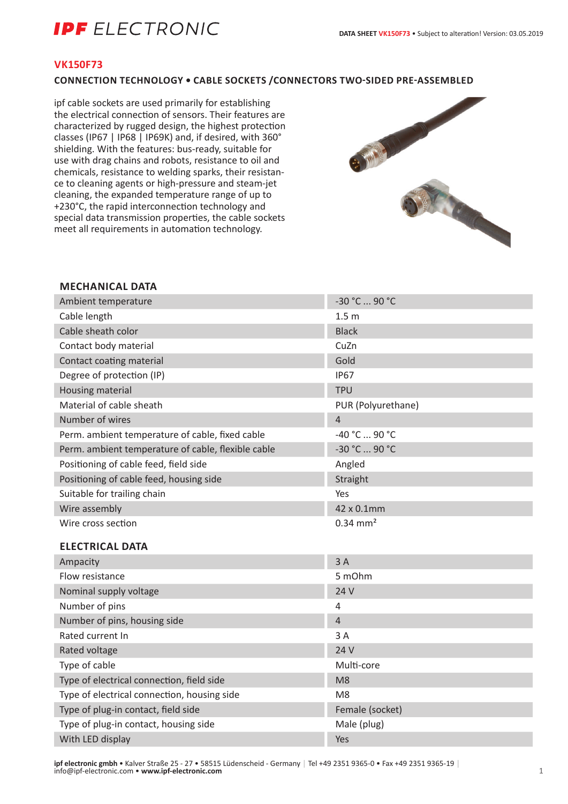## **IPF** ELECTRONIC

#### **VK150F73**

#### **CONNECTION TECHNOLOGY • CABLE SOCKETS /CONNECTORS TWO-SIDED PRE-ASSEMBLED**

ipf cable sockets are used primarily for establishing the electrical connection of sensors. Their features are characterized by rugged design, the highest protection classes (IP67 | IP68 | IP69K) and, if desired, with 360° shielding. With the features: bus-ready, suitable for use with drag chains and robots, resistance to oil and chemicals, resistance to welding sparks, their resistance to cleaning agents or high-pressure and steam-jet cleaning, the expanded temperature range of up to +230°C, the rapid interconnection technology and special data transmission properties, the cable sockets meet all requirements in automation technology.



#### **MECHANICAL DATA**

| Ambient temperature                                | -30 °C  90 °C          |
|----------------------------------------------------|------------------------|
| Cable length                                       | 1.5 <sub>m</sub>       |
| Cable sheath color                                 | <b>Black</b>           |
| Contact body material                              | CuZn                   |
| Contact coating material                           | Gold                   |
| Degree of protection (IP)                          | <b>IP67</b>            |
| Housing material                                   | <b>TPU</b>             |
| Material of cable sheath                           | PUR (Polyurethane)     |
| Number of wires                                    | $\overline{4}$         |
| Perm. ambient temperature of cable, fixed cable    | -40 °C  90 °C          |
| Perm. ambient temperature of cable, flexible cable | -30 °C  90 °C          |
| Positioning of cable feed, field side              | Angled                 |
| Positioning of cable feed, housing side            | Straight               |
| Suitable for trailing chain                        | Yes                    |
| Wire assembly                                      | 42 x 0.1mm             |
| Wire cross section                                 | $0.34$ mm <sup>2</sup> |
| <b>ELECTRICAL DATA</b>                             |                        |
| Ampacity                                           | 3A                     |
| Flow resistance                                    | 5 mOhm                 |
| Nominal supply voltage                             | 24 V                   |
| Number of pins                                     | $\overline{4}$         |
| Number of pins, housing side                       | $\overline{4}$         |
| Rated current In                                   | 3A                     |
| Rated voltage                                      | 24 V                   |
| Type of cable                                      | Multi-core             |
| Type of electrical connection, field side          | M <sub>8</sub>         |
| Type of electrical connection, housing side        | M <sub>8</sub>         |
| Type of plug-in contact, field side                | Female (socket)        |
| Type of plug-in contact, housing side              | Male (plug)            |
| With LED display                                   | Yes                    |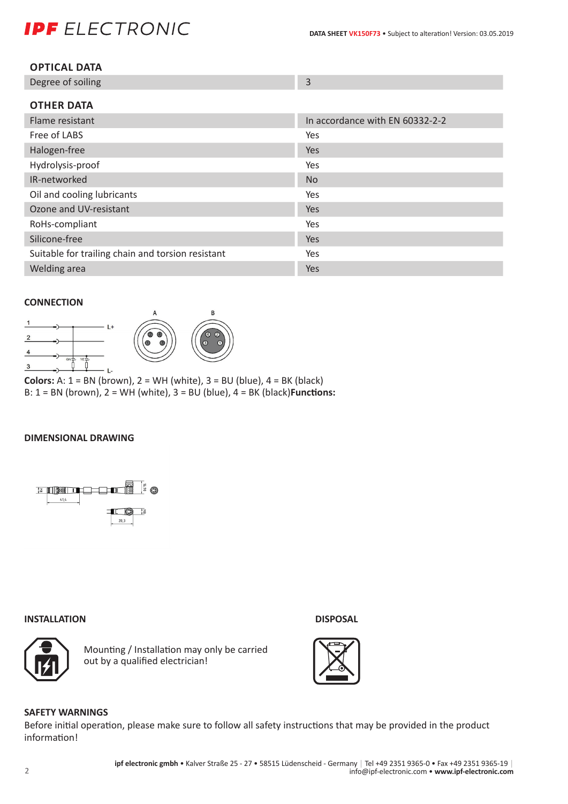# **IPF** ELECTRONIC

| <b>OPTICAL DATA</b> |
|---------------------|
|---------------------|

| Degree of soiling |  |
|-------------------|--|
|                   |  |

| <b>OTHER DATA</b>                                 |                                 |
|---------------------------------------------------|---------------------------------|
| Flame resistant                                   | In accordance with EN 60332-2-2 |
| Free of LABS                                      | Yes                             |
| Halogen-free                                      | <b>Yes</b>                      |
| Hydrolysis-proof                                  | Yes                             |
| IR-networked                                      | N <sub>o</sub>                  |
| Oil and cooling lubricants                        | Yes                             |
| Ozone and UV-resistant                            | Yes                             |
| RoHs-compliant                                    | Yes                             |
| Silicone-free                                     | <b>Yes</b>                      |
| Suitable for trailing chain and torsion resistant | Yes                             |
| Welding area                                      | Yes                             |

#### **CONNECTION**



**Colors:** A:  $1 = BN$  (brown),  $2 = WH$  (white),  $3 = BU$  (blue),  $4 = BK$  (black) B: 1 = BN (brown), 2 = WH (white), 3 = BU (blue), 4 = BK (black)**Functions:**

#### **DIMENSIONAL DRAWING**



#### **INSTALLATION DISPOSAL**



Mounting / Installation may only be carried out by a qualified electrician!





### **SAFETY WARNINGS**

Before initial operation, please make sure to follow all safety instructions that may be provided in the product information!